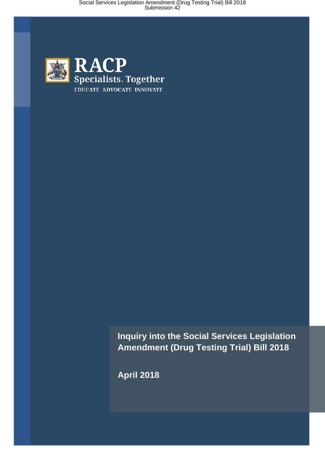

**Inquiry into the Social Services Legislation Amendment (Drug Testing Trial) Bill 2018**

**April 2018**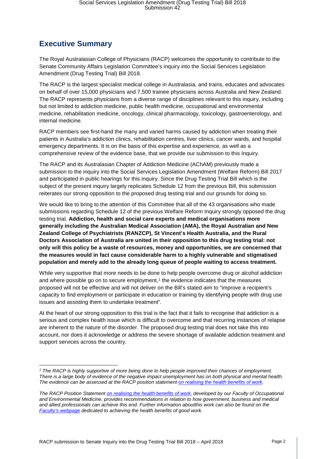## **Executive Summary**

The Royal Australasian College of Physicians (RACP) welcomes the opportunity to contribute to the Senate Community Affairs Legislation Committee's inquiry into the Social Services Legislation Amendment (Drug Testing Trial) Bill 2018.

The RACP is the largest specialist medical college in Australasia, and trains, educates and advocates on behalf of over 15,000 physicians and 7,500 trainee physicians across Australia and New Zealand. The RACP represents physicians from a diverse range of disciplines relevant to this inquiry, including but not limited to addiction medicine, public health medicine, occupational and environmental medicine, rehabilitation medicine, oncology, clinical pharmacology, toxicology, gastroenterology, and internal medicine.

RACP members see first-hand the many and varied harms caused by addiction when treating their patients in Australia's addiction clinics, rehabilitation centres, liver clinics, cancer wards, and hospital emergency departments. It is on the basis of this expertise and experience, as well as a comprehensive review of the evidence base, that we provide our submission to this Inquiry.

The RACP and its Australasian Chapter of Addiction Medicine (AChAM) previously made a submission to the inquiry into the Social Services Legislation Amendment (Welfare Reform) Bill 2017 and participated in public hearings for this inquiry. Since the Drug Testing Trial Bill which is the subject of the present inquiry largely replicates Schedule 12 from the previous Bill, this submission reiterates our strong opposition to the proposed drug testing trial and our grounds for doing so.

We would like to bring to the attention of this Committee that all of the 43 organisations who made submissions regarding Schedule 12 of the previous Welfare Reform Inquiry strongly opposed the drug testing trial. **Addiction, health and social care experts and medical organisations more generally including the Australian Medical Association (AMA), the Royal Australian and New Zealand College of Psychiatrists (RANZCP), St Vincent's Health Australia, and the Rural Doctors Association of Australia are united in their opposition to this drug testing trial: not only will this policy be a waste of resources, money and opportunities, we are concerned that the measures would in fact cause considerable harm to a highly vulnerable and stigmatised population and merely add to the already long queue of people waiting to access treatment.**

While very supportive that more needs to be done to help people overcome drug or alcohol addiction and where possible go on to secure employment, $1$  the evidence indicates that the measures proposed will not be effective and will not deliver on the Bill's stated aim to "improve a recipient's capacity to find employment or participate in education or training by identifying people with drug use issues and assisting them to undertake treatment".

At the heart of our strong opposition to this trial is the fact that it fails to recognise that addiction is a serious and complex health issue which is difficult to overcome and that recurring instances of relapse are inherent to the nature of the disorder. The proposed drug testing trial does not take this into account, nor does it acknowledge or address the severe shortage of available addiction treatment and support services across the country.

<span id="page-1-0"></span>*<sup>1</sup> The RACP is highly supportive of more being done to help people improved their chances of employment. There is a large body of evidence of the negative impact unemployment has on both physical and mental health. The evidence can be assessed at the RACP position statemen[t on realising the health benefits of work.](https://www.racp.edu.au/docs/default-source/advocacy-library/realising-the-health-benefits-of-work.pdf?sfvrsn=10)* 

*The RACP Position Statemen[t on realising the health benefits of work,](https://www.racp.edu.au/docs/default-source/advocacy-library/realising-the-health-benefits-of-work.pdf?sfvrsn=10) developed by our Faculty of Occupational and Environmental Medicine, provides recommendations in relation to how government, business and medical and allied professionals can achieve this end. Further information aboutthis work can also be found on the [Faculty's webpage](https://www.racp.edu.au/advocacy/division-faculty-and-chapter-priorities/faculty-of-occupational-environmental-medicine/health-benefits-of-good-work) dedicated to achieving the health benefits of good work.*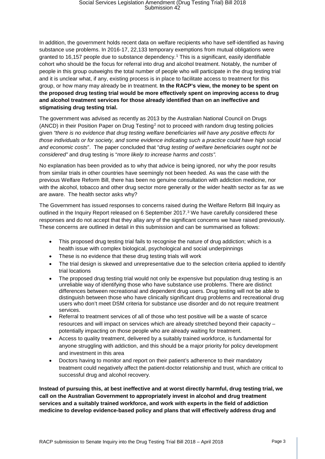In addition, the government holds recent data on welfare recipients who have self-identified as having substance use problems. In 2016-17, 22,133 temporary exemptions from mutual obligations were granted to 16,157 people due to substance dependency.[1](#page-11-0) This is a significant, easily identifiable cohort who should be the focus for referral into drug and alcohol treatment. Notably, the number of people in this group outweighs the total number of people who will participate in the drug testing trial and it is unclear what, if any, existing process is in place to facilitate access to treatment for this group, or how many may already be in treatment. **In the RACP's view, the money to be spent on the proposed drug testing trial would be more effectively spent on improving access to drug and alcohol treatment services for those already identified than on an ineffective and stigmatising drug testing trial.**

The government was advised as recently as 2013 by the Australian National Council on Drugs (ANCD) in their Position Paper on Drug Testing[2](#page-11-1) not to proceed with random drug testing policies given *"there is no evidence that drug testing welfare beneficiaries will have any positive effects for those individuals or for society, and some evidence indicating such a practice could have high social and economic costs*". The paper concluded that "*drug testing of welfare beneficiaries ought not be considered"* and drug testing is "*more likely to increase harms and costs".*

No explanation has been provided as to why that advice is being ignored, nor why the poor results from similar trials in other countries have seemingly not been heeded. As was the case with the previous Welfare Reform Bill, there has been no genuine consultation with addiction medicine, nor with the alcohol, tobacco and other drug sector more generally or the wider health sector as far as we are aware. The health sector asks why?

The Government has issued responses to concerns raised during the Welfare Reform Bill Inquiry as outlined in the Inquiry Report released on 6 September 2017.<sup>[3](#page-11-2)</sup> We have carefully considered these responses and do not accept that they allay any of the significant concerns we have raised previously. These concerns are outlined in detail in this submission and can be summarised as follows:

- This proposed drug testing trial fails to recognise the nature of drug addiction; which is a health issue with complex biological, psychological and social underpinnings
- These is no evidence that these drug testing trials will work
- The trial design is skewed and unrepresentative due to the selection criteria applied to identify trial locations
- The proposed drug testing trial would not only be expensive but population drug testing is an unreliable way of identifying those who have substance use problems. There are distinct differences between recreational and dependent drug users. Drug testing will not be able to distinguish between those who have clinically significant drug problems and recreational drug users who don't meet DSM criteria for substance use disorder and do not require treatment services.
- Referral to treatment services of all of those who test positive will be a waste of scarce resources and will impact on services which are already stretched beyond their capacity – potentially impacting on those people who are already waiting for treatment.
- Access to quality treatment, delivered by a suitably trained workforce, is fundamental for anyone struggling with addiction, and this should be a major priority for policy development and investment in this area
- Doctors having to monitor and report on their patient's adherence to their mandatory treatment could negatively affect the patient-doctor relationship and trust, which are critical to successful drug and alcohol recovery.

**Instead of pursuing this, at best ineffective and at worst directly harmful, drug testing trial, we call on the Australian Government to appropriately invest in alcohol and drug treatment services and a suitably trained workforce, and work with experts in the field of addiction medicine to develop evidence-based policy and plans that will effectively address drug and**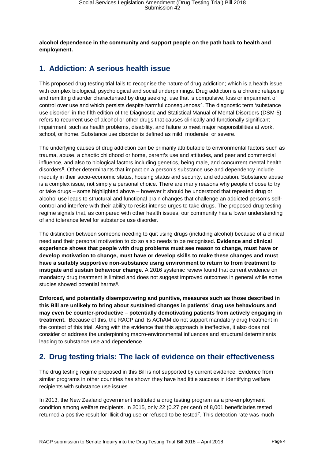**alcohol dependence in the community and support people on the path back to health and employment.** 

### **1. Addiction: A serious health issue**

This proposed drug testing trial fails to recognise the nature of drug addiction; which is a health issue with complex biological, psychological and social underpinnings. Drug addiction is a chronic relapsing and remitting disorder characterised by drug seeking, use that is compulsive, loss or impairment of control over use and which persists despite harmful consequences[4.](#page-12-0) The diagnostic term 'substance use disorder' in the fifth edition of the Diagnostic and Statistical Manual of Mental Disorders (DSM-5) refers to recurrent use of alcohol or other drugs that causes clinically and functionally significant impairment, such as health problems, disability, and failure to meet major responsibilities at work, school, or home. Substance use disorder is defined as mild, moderate, or severe.

The underlying causes of drug addiction can be primarily attributable to environmental factors such as trauma, abuse, a chaotic childhood or home, parent's use and attitudes, and peer and commercial influence, and also to biological factors including genetics, being male, and concurrent mental health disorders<sup>[5](#page-12-1)</sup>. Other determinants that impact on a person's substance use and dependency include inequity in their socio-economic status, housing status and security, and education. Substance abuse is a complex issue, not simply a personal choice. There are many reasons why people choose to try or take drugs – some highlighted above – however it should be understood that repeated drug or alcohol use leads to structural and functional brain changes that challenge an addicted person's selfcontrol and interfere with their ability to resist intense urges to take drugs. The proposed drug testing regime signals that, as compared with other health issues, our community has a lower understanding of and tolerance level for substance use disorder.

The distinction between someone needing to quit using drugs (including alcohol) because of a clinical need and their personal motivation to do so also needs to be recognised. **Evidence and clinical experience shows that people with drug problems must see reason to change, must have or develop motivation to change, must have or develop skills to make these changes and must have a suitably supportive non-substance using environment to return to from treatment to instigate and sustain behaviour change.** A 2016 systemic review found that current evidence on mandatory drug treatment is limited and does not suggest improved outcomes in general while some studies showed potential harms<sup>[6](#page-12-2)</sup>.

**Enforced, and potentially disempowering and punitive, measures such as those described in this Bill are unlikely to bring about sustained changes in patients' drug use behaviours and may even be counter-productive – potentially demotivating patients from actively engaging in treatment.** Because of this, the RACP and its AChAM do not support mandatory drug treatment in the context of this trial. Along with the evidence that this approach is ineffective, it also does not consider or address the underpinning macro-environmental influences and structural determinants leading to substance use and dependence.

### **2. Drug testing trials: The lack of evidence on their effectiveness**

The drug testing regime proposed in this Bill is not supported by current evidence. Evidence from similar programs in other countries has shown they have had little success in identifying welfare recipients with substance use issues.

In 2013, the New Zealand government instituted a drug testing program as a pre-employment condition among welfare recipients. In 2015, only 22 (0.27 per cent) of 8,001 beneficiaries tested returned a positive result for illicit drug use or refused to be tested<sup>[7](#page-12-3)</sup>. This detection rate was much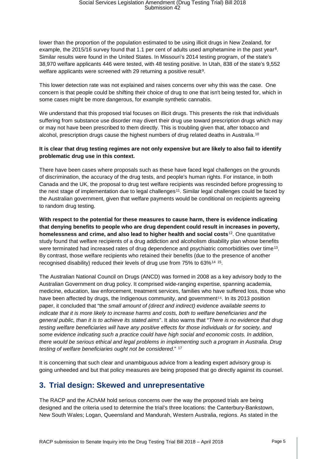lower than the proportion of the population estimated to be using illicit drugs in New Zealand, for example, the 2015/16 survey found that 1.1 per cent of adults used amphetamine in the past year<sup>[8](#page-12-4)</sup>. Similar results were found in the United States. In Missouri's 2014 testing program, of the state's 38,970 welfare applicants 446 were tested, with 48 testing positive. In Utah, 838 of the state's 9,552 welfare applicants were screened with 2[9](#page-12-5) returning a positive result<sup>9</sup>.

This lower detection rate was not explained and raises concerns over why this was the case. One concern is that people could be shifting their choice of drug to one that isn't being tested for, which in some cases might be more dangerous, for example synthetic cannabis.

We understand that this proposed trial focuses on illicit drugs. This presents the risk that individuals suffering from substance use disorder may divert their drug use toward prescription drugs which may or may not have been prescribed to them directly. This is troubling given that, after tobacco and alcohol, prescription drugs cause the highest numbers of drug related deaths in Australia.[10](#page-12-6)

#### **It is clear that drug testing regimes are not only expensive but are likely to also fail to identify problematic drug use in this context.**

There have been cases where proposals such as these have faced legal challenges on the grounds of discrimination, the accuracy of the drug tests, and people's human rights. For instance, in both Canada and the UK, the proposal to drug test welfare recipients was rescinded before progressing to the next stage of implementation due to legal challenges<sup>[11](#page-12-7)</sup>. Similar legal challenges could be faced by the Australian government, given that welfare payments would be conditional on recipients agreeing to random drug testing.

**With respect to the potential for these measures to cause harm, there is evidence indicating that denying benefits to people who are drug dependent could result in increases in poverty, homelessness and crime, and also lead to higher health and social costs**[12.](#page-12-8) One quantitative study found that welfare recipients of a drug addiction and alcoholism disability plan whose benefits were terminated had increased rates of drug dependence and psychiatric comorbidities over time<sup>13</sup>. By contrast, those welfare recipients who retained their benefits (due to the presence of another recognised disability) reduced their levels of drug use from 75% to 63%[14](#page-12-10) [15](#page-12-11).

The Australian National Council on Drugs (ANCD) was formed in 2008 as a key advisory body to the Australian Government on drug policy. It comprised wide-ranging expertise, spanning academia, medicine, education, law enforcement, treatment services, families who h[av](#page-12-12)e suffered loss, those who have been affected by drugs, the Indigenous community, and government<sup>16</sup>. In its 2013 position paper, it concluded that "the *small amount of (direct and indirect) evidence available seems to indicate that it is more likely to increase harms and costs, both to welfare beneficiaries and the general public, than it is to achieve its stated aims*". It also warns that "*There is no evidence that drug testing welfare beneficiaries will have any positive effects for those individuals or for society, and some evidence indicating such a practice could have high social and economic costs. In addition, there would be serious ethical and legal problems in implementing such a program in Australia. Drug testing of welfare beneficiaries ought not be considered*." [17](#page-12-13)

It is concerning that such clear and unambiguous advice from a leading expert advisory group is going unheeded and but that policy measures are being proposed that go directly against its counsel.

### **3. Trial design: Skewed and unrepresentative**

The RACP and the AChAM hold serious concerns over the way the proposed trials are being designed and the criteria used to determine the trial's three locations: the Canterbury-Bankstown, New South Wales; Logan, Queensland and Mandurah, Western Australia, regions. As stated in the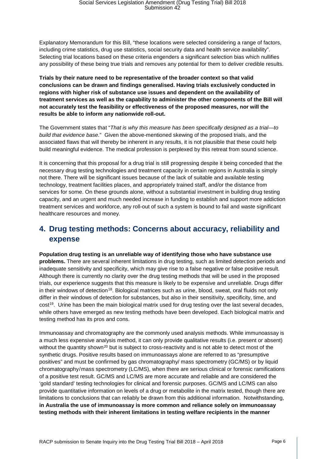Explanatory Memorandum for this Bill, "these locations were selected considering a range of factors, including crime statistics, drug use statistics, social security data and health service availability". Selecting trial locations based on these criteria engenders a significant selection bias which nullifies any possibility of these being true trials and removes any potential for them to deliver credible results.

**Trials by their nature need to be representative of the broader context so that valid conclusions can be drawn and findings generalised. Having trials exclusively conducted in regions with higher risk of substance use issues and dependent on the availability of treatment services as well as the capability to administer the other components of the Bill will not accurately test the feasibility or effectiveness of the proposed measures, nor will the results be able to inform any nationwide roll-out.**

The Government states that "*That is why this measure has been specifically designed as a trial—to build that evidence base.*" Given the above-mentioned skewing of the proposed trials, and the associated flaws that will thereby be inherent in any results, it is not plausible that these could help build meaningful evidence. The medical profession is perplexed by this retreat from sound science.

It is concerning that this proposal for a drug trial is still progressing despite it being conceded that the necessary drug testing technologies and treatment capacity in certain regions in Australia is simply not there. There will be significant issues because of the lack of suitable and available testing technology, treatment facilities places, and appropriately trained staff, and/or the distance from services for some. On these grounds alone, without a substantial investment in building drug testing capacity, and an urgent and much needed increase in funding to establish and support more addiction treatment services and workforce, any roll-out of such a system is bound to fail and waste significant healthcare resources and money.

## **4. Drug testing methods: Concerns about accuracy, reliability and expense**

**Population drug testing is an unreliable way of identifying those who have substance use problems.** There are several inherent limitations in drug testing, such as limited detection periods and inadequate sensitivity and specificity, which may give rise to a false negative or false positive result. Although there is currently no clarity over the drug testing methods that will be used in the proposed trials, our experience suggests that this measure is likely to be expensive and unreliable. Drugs differ in their windows of detection<sup>[18](#page-12-14)</sup>. Biological matrices such as urine, blood, sweat, oral fluids not only differ in their windows of detection for substances, but also in their sensitivity, specificity, time, and cost[19](#page-12-15). Urine has been the main biological matrix used for drug testing over the last several decades, while others have emerged as new testing methods have been developed. Each biological matrix and testing method has its pros and cons.

Immunoassay and chromatography are the commonly used analysis methods. While immunoassay is a much less expensive analysis method, it can only provide qualitative results (i.e. present or absent) without the quantity shown<sup>[20](#page-12-16)</sup> but is subject to cross-reactivity and is not able to detect most of the synthetic drugs. Positive results based on immunoassays alone are referred to as "presumptive positives" and must be confirmed by gas chromatography/ mass spectrometry (GC/MS) or by liquid chromatography/mass spectrometry (LC/MS), when there are serious clinical or forensic ramifications of a positive test result. GC/MS and LC/MS are more accurate and reliable and are considered the 'gold standard' testing technologies for clinical and forensic purposes. GC/MS and LC/MS can also provide quantitative information on levels of a drug or metabolite in the matrix tested, though there are limitations to conclusions that can reliably be drawn from this additional information. Notwithstanding, **in Australia the use of immunoassay is more common and reliance solely on immunoassay testing methods with their inherent limitations in testing welfare recipients in the manner**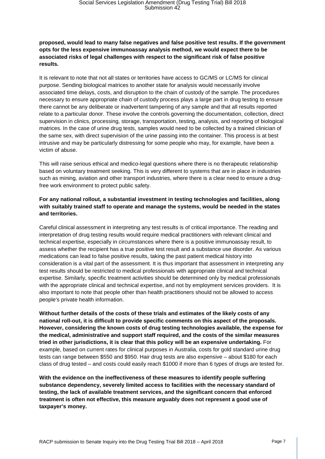#### **proposed, would lead to many false negatives and false positive test results. If the government opts for the less expensive immunoassay analysis method, we would expect there to be associated risks of legal challenges with respect to the significant risk of false positive results.**

It is relevant to note that not all states or territories have access to GC/MS or LC/MS for clinical purpose. Sending biological matrices to another state for analysis would necessarily involve associated time delays, costs, and disruption to the chain of custody of the sample. The procedures necessary to ensure appropriate chain of custody process plays a large part in drug testing to ensure there cannot be any deliberate or inadvertent tampering of any sample and that all results reported relate to a particular donor. These involve the controls governing the documentation, collection, direct supervision in clinics, processing, storage, transportation, testing, analysis, and reporting of biological matrices. In the case of urine drug tests, samples would need to be collected by a trained clinician of the same sex, with direct supervision of the urine passing into the container. This process is at best intrusive and may be particularly distressing for some people who may, for example, have been a victim of abuse.

This will raise serious ethical and medico-legal questions where there is no therapeutic relationship based on voluntary treatment seeking. This is very different to systems that are in place in industries such as mining, aviation and other transport industries, where there is a clear need to ensure a drugfree work environment to protect public safety.

#### **For any national rollout, a substantial investment in testing technologies and facilities, along with suitably trained staff to operate and manage the systems, would be needed in the states and territories.**

Careful clinical assessment in interpreting any test results is of critical importance. The reading and interpretation of drug testing results would require medical practitioners with relevant clinical and technical expertise, especially in circumstances where there is a positive immunoassay result, to assess whether the recipient has a true positive test result and a substance use disorder. As various medications can lead to false positive results, taking the past patient medical history into consideration is a vital part of the assessment. It is thus important that assessment in interpreting any test results should be restricted to medical professionals with appropriate clinical and technical expertise. Similarly, specific treatment activities should be determined only by medical professionals with the appropriate clinical and technical expertise, and not by employment services providers. It is also important to note that people other than health practitioners should not be allowed to access people's private health information.

**Without further details of the costs of these trials and estimates of the likely costs of any national roll-out, it is difficult to provide specific comments on this aspect of the proposals. However, considering the known costs of drug testing technologies available, the expense for the medical, administrative and support staff required, and the costs of the similar measures tried in other jurisdictions, it is clear that this policy will be an expensive undertaking.** For example, based on current rates for clinical purposes in Australia, costs for gold standard urine drug tests can range between \$550 and \$950. Hair drug tests are also expensive – about \$180 for each class of drug tested – and costs could easily reach \$1000 if more than 6 types of drugs are tested for.

**With the evidence on the ineffectiveness of these measures to identify people suffering substance dependency, severely limited access to facilities with the necessary standard of testing, the lack of available treatment services, and the significant concern that enforced treatment is often not effective, this measure arguably does not represent a good use of taxpayer's money.**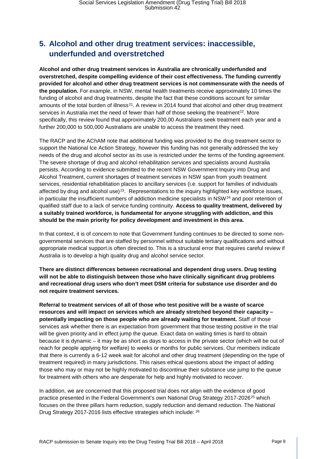## **5. Alcohol and other drug treatment services: inaccessible, underfunded and overstretched**

**Alcohol and other drug treatment services in Australia are chronically underfunded and overstretched, despite compelling evidence of their cost effectiveness. The funding currently provided for alcohol and other drug treatment services is not commensurate with the needs of the population.** For example, in NSW, mental health treatments receive approximately 10 times the funding of alcohol and drug treatments, despite the fact that these conditions account for similar amounts of the total burden of illness<sup>[21](#page-12-17)</sup>. A review in 2014 found that alcohol and other drug treatment services in Australia met the need of fewer than half of those seeking the treatment<sup>22</sup>. More specifically, this review found that approximately 200,00 Australians seek treatment each year and a further 200,000 to 500,000 Australians are unable to access the treatment they need.

The RACP and the AChAM note that additional funding was provided to the drug treatment sector to support the National Ice Action Strategy, however this funding has not generally addressed the key needs of the drug and alcohol sector as its use is restricted under the terms of the funding agreement. The severe shortage of drug and alcohol rehabilitation services and specialists around Australia persists. According to evidence submitted to the recent NSW Government Inquiry into Drug and Alcohol Treatment, current shortages of treatment services in NSW span from youth treatment services, residential rehabilitation places to ancillary services (i.e. support for families of individuals affected by drug and alcohol use) $^{23}$ . Representations to the inquiry highlighted key workforce issues, in particular the insufficient numbers of addiction medicine specialists in NSW[24](#page-12-20) and poor retention of qualified staff due to a lack of service funding continuity. **Access to quality treatment, delivered by a suitably trained workforce, is fundamental for anyone struggling with addiction, and this should be the main priority for policy development and investment in this area.**

In that context, it is of concern to note that Government funding continues to be directed to some nongovernmental services that are staffed by personnel without suitable tertiary qualifications and without appropriate medical support.is often directed to. This is a structural error that requires careful review if Australia is to develop a high quality drug and alcohol service sector.

**There are distinct differences between recreational and dependent drug users. Drug testing will not be able to distinguish between those who have clinically significant drug problems and recreational drug users who don't meet DSM criteria for substance use disorder and do not require treatment services.**

**Referral to treatment services of all of those who test positive will be a waste of scarce resources and will impact on services which are already stretched beyond their capacity – potentially impacting on those people who are already waiting for treatment.** Staff of those services ask whether there is an expectation from government that those testing positive in the trial will be given priority and in effect jump the queue. Exact data on waiting times is hard to obtain because it is dynamic – it may be as short as days to access in the private sector (which will be out of reach for people applying for welfare) to weeks or months for public services. Our members indicate that there is currently a 6-12 week wait for alcohol and other drug treatment (depending on the type of treatment required) in many jurisdictions. This raises ethical questions about the impact of adding those who may or may not be highly motivated to discontinue their substance use jump to the queue for treatment with others who are desperate for help and highly motivated to recover.

In addition, we are concerned that this proposed trial does not align with the evidence of good practice presented in the Federal Government's own National Drug Strategy 2017-2026<sup>[25](#page-12-21)</sup> which focuses on the three pillars harm reduction, supply reduction and demand reduction. The National Drug Strategy 2017-2016 lists effective strategies which include: [26](#page-12-22)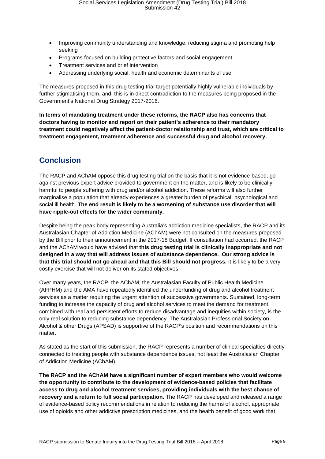- Improving community understanding and knowledge, reducing stigma and promoting help seeking
- Programs focused on building protective factors and social engagement
- Treatment services and brief intervention
- Addressing underlying social, health and economic determinants of use

The measures proposed in this drug testing trial target potentially highly vulnerable individuals by further stigmatising them, and this is in direct contradiction to the measures being proposed in the Government's National Drug Strategy 2017-2016.

**In terms of mandating treatment under these reforms, the RACP also has concerns that doctors having to monitor and report on their patient's adherence to their mandatory treatment could negatively affect the patient-doctor relationship and trust, which are critical to treatment engagement, treatment adherence and successful drug and alcohol recovery.**

## **Conclusion**

The RACP and AChAM oppose this drug testing trial on the basis that it is not evidence-based, go against previous expert advice provided to government on the matter, and is likely to be clinically harmful to people suffering with drug and/or alcohol addiction. These reforms will also further marginalise a population that already experiences a greater burden of psychical, psychological and social ill health. **The end result is likely to be a worsening of substance use disorder that will have ripple-out effects for the wider community.**

Despite being the peak body representing Australia's addiction medicine specialists, the RACP and its Australasian Chapter of Addiction Medicine (AChAM) were not consulted on the measures proposed by the Bill prior to their announcement in the 2017-18 Budget. If consultation had occurred, the RACP and the AChAM would have advised that **this drug testing trial is clinically inappropriate and not designed in a way that will address issues of substance dependence. Our strong advice is that this trial should not go ahead and that this Bill should not progress.** It is likely to be a very costly exercise that will not deliver on its stated objectives.

Over many years, the RACP, the AChAM, the Australasian Faculty of Public Health Medicine (AFPHM) and the AMA have repeatedly identified the underfunding of drug and alcohol treatment services as a matter requiring the urgent attention of successive governments. Sustained, long-term funding to increase the capacity of drug and alcohol services to meet the demand for treatment, combined with real and persistent efforts to reduce disadvantage and inequities within society, is the only real solution to reducing substance dependency. The Australasian Professional Society on Alcohol & other Drugs (APSAD) is supportive of the RACP's position and recommendations on this matter.

As stated as the start of this submission, the RACP represents a number of clinical specialties directly connected to treating people with substance dependence issues; not least the Australasian Chapter of Addiction Medicine (AChAM).

**The RACP and the AChAM have a significant number of expert members who would welcome the opportunity to contribute to the development of evidence-based policies that facilitate access to drug and alcohol treatment services, providing individuals with the best chance of recovery and a return to full social participation.** The RACP has developed and released a range of evidence-based policy recommendations in relation to reducing the harms of alcohol, appropriate use of opioids and other addictive prescription medicines, and the health benefit of good work that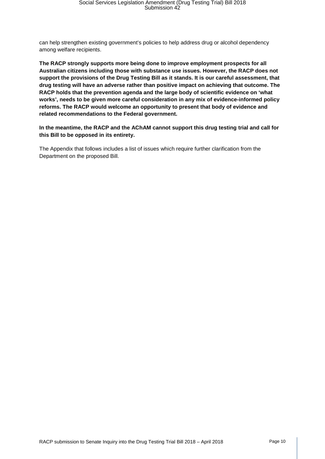can help strengthen existing government's policies to help address drug or alcohol dependency among welfare recipients.

**The RACP strongly supports more being done to improve employment prospects for all Australian citizens including those with substance use issues. However, the RACP does not support the provisions of the Drug Testing Bill as it stands. It is our careful assessment, that drug testing will have an adverse rather than positive impact on achieving that outcome. The RACP holds that the prevention agenda and the large body of scientific evidence on 'what works', needs to be given more careful consideration in any mix of evidence-informed policy reforms. The RACP would welcome an opportunity to present that body of evidence and related recommendations to the Federal government.**

**In the meantime, the RACP and the AChAM cannot support this drug testing trial and call for this Bill to be opposed in its entirety.**

The Appendix that follows includes a list of issues which require further clarification from the Department on the proposed Bill.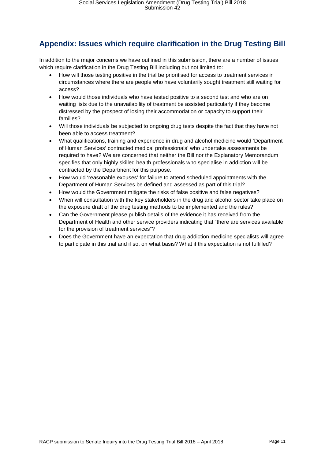## **Appendix: Issues which require clarification in the Drug Testing Bill**

In addition to the major concerns we have outlined in this submission, there are a number of issues which require clarification in the Drug Testing Bill including but not limited to:

- How will those testing positive in the trial be prioritised for access to treatment services in circumstances where there are people who have voluntarily sought treatment still waiting for access?
- How would those individuals who have tested positive to a second test and who are on waiting lists due to the unavailability of treatment be assisted particularly if they become distressed by the prospect of losing their accommodation or capacity to support their families?
- Will those individuals be subjected to ongoing drug tests despite the fact that they have not been able to access treatment?
- What qualifications, training and experience in drug and alcohol medicine would 'Department of Human Services' contracted medical professionals' who undertake assessments be required to have? We are concerned that neither the Bill nor the Explanatory Memorandum specifies that only highly skilled health professionals who specialise in addiction will be contracted by the Department for this purpose.
- How would 'reasonable excuses' for failure to attend scheduled appointments with the Department of Human Services be defined and assessed as part of this trial?
- How would the Government mitigate the risks of false positive and false negatives?
- When will consultation with the key stakeholders in the drug and alcohol sector take place on the exposure draft of the drug testing methods to be implemented and the rules?
- Can the Government please publish details of the evidence it has received from the Department of Health and other service providers indicating that "there are services available for the provision of treatment services"?
- Does the Government have an expectation that drug addiction medicine specialists will agree to participate in this trial and if so, on what basis? What if this expectation is not fulfilled?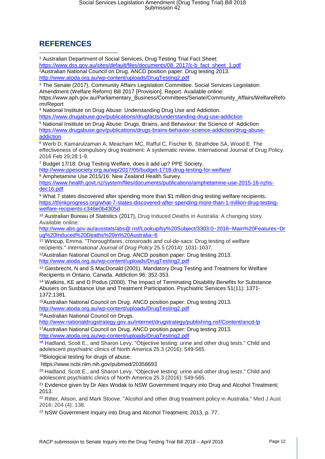## **REFERENCES**

<span id="page-11-2"></span><span id="page-11-1"></span><span id="page-11-0"></span><sup>1</sup> Australian Department of Social Services, Drug Testing Trial Fact Sheet: [https://www.dss.gov.au/sites/default/files/documents/08\\_2017/c-b\\_fact\\_sheet\\_1.pdf](https://www.dss.gov.au/sites/default/files/documents/08_2017/c-b_fact_sheet_1.pdf) 2Australian National Council on Drug. ANCD position paper: Drug testing 2013. <http://www.atoda.org.au/wp-content/uploads/DrugTesting2.pdf> <sup>3</sup> The Senate (2017), Community Affairs Legislation Committee. Social Services Legislation Amendment (Welfare Reform) Bill 2017 [Provision]. Report. Available online: https://www.aph.gov.au/Parliamentary\_Business/Committees/Senate/Community\_Affairs/WelfareRefo rm/Report <sup>4</sup> National Institute on Drug Abuse: Understanding Drug Use and Addiction. <https://www.drugabuse.gov/publications/drugfacts/understanding-drug-use-addiction> <sup>5</sup> National Institute on Drug Abuse: Drugs, Brains, and Behaviour: the Science of Addiction [https://www.drugabuse.gov/publications/drugs-brains-behavior-science-addiction/drug-abuse](https://www.drugabuse.gov/publications/drugs-brains-behavior-science-addiction/drug-abuse-addiction)[addiction](https://www.drugabuse.gov/publications/drugs-brains-behavior-science-addiction/drug-abuse-addiction) <sup>6</sup> Werb D, Kamarulzaman A, Meacham MC, Rafful C, Fischer B, Strathdee SA, Wood E. The effectiveness of compulsory drug treatment: A systematic review. International Journal of Drug Policy. 2016 Feb 29;28:1-9. <sup>7</sup> Budget 17/18: Drug Testing Welfare, does it add up? PPE Society. http://www.ppesociety.org.au/wp/2017/05/budget-1718-drug-testing-for-welfare/ <sup>8</sup> Amphetamine Use 2015/16: New Zealand Health Survey. [https://www.health.govt.nz/system/files/documents/publications/amphetamine-use-2015-16-nzhs](https://www.health.govt.nz/system/files/documents/publications/amphetamine-use-2015-16-nzhs-dec16.pdf)[dec16.pdf](https://www.health.govt.nz/system/files/documents/publications/amphetamine-use-2015-16-nzhs-dec16.pdf) 9 What 7 states discovered after spending more than \$1 million drug testing welfare recipients. [https://thinkprogress.org/what-7-states-discovered-after-spending-more-than-1-million-drug-testing](https://thinkprogress.org/what-7-states-discovered-after-spending-more-than-1-million-drug-testing-welfare-recipients-c346e0b4305d)[welfare-recipients-c346e0b4305d](https://thinkprogress.org/what-7-states-discovered-after-spending-more-than-1-million-drug-testing-welfare-recipients-c346e0b4305d) <sup>10</sup> Australian Bureau of Statistics (2017), Drug Induced Deaths in Australia: A changing story. Available online: [http://www.abs.gov.au/ausstats/abs@.nsf/Lookup/by%20Subject/3303.0~2016~Main%20Features~Dr](http://www.abs.gov.au/ausstats/abs@.nsf/Lookup/by%20Subject/3303.0%7E2016%7EMain%20Features%7EDrug%20Induced%20Deaths%20in%20Australia%7E6) [ug%20Induced%20Deaths%20in%20Australia~6](http://www.abs.gov.au/ausstats/abs@.nsf/Lookup/by%20Subject/3303.0%7E2016%7EMain%20Features%7EDrug%20Induced%20Deaths%20in%20Australia%7E6) <sup>11</sup> Wincup, Emma. "Thoroughfares, crossroads and cul-de-sacs: Drug testing of welfare recipients." *International Journal of Drug Policy* 25.5 (2014): 1031-1037. 12Australian National Council on Drug. ANCD position paper: Drug testing 2013. <http://www.atoda.org.au/wp-content/uploads/DrugTesting2.pdf> <sup>13</sup> Giesbrecht, N and S MacDonald (2001). Mandatory Drug Testing and Treatment for Welfare Recipients in Ontario, Canada. Addiction 96: 352-353. <sup>14</sup> Watkins, KE and D Podus (2000). The Impact of Terminating Disability Benefits for Substance Abusers on Susbtance Use and Treatment Participation. Psychiatric Services 51(11): 1371- 1372;1381. 15Australian National Council on Drug. ANCD position paper: Drug testing 2013. <http://www.atoda.org.au/wp-content/uploads/DrugTesting2.pdf> 16Australian National Council on Drugs. <http://www.nationaldrugstrategy.gov.au/internet/drugstrategy/publishing.nsf/Content/ancd-lp> 17Australian National Council on Drug. ANCD position paper: Drug testing 2013. <http://www.atoda.org.au/wp-content/uploads/DrugTesting2.pdf> <sup>18</sup> Hadland, Scott E., and Sharon Levy. "Objective testing: urine and other drug tests." Child and adolescent psychiatric clinics of North America 25.3 (2016): 549-565. 19Biological testing for drugs of abuse. https://www.ncbi.nlm.nih.gov/pubmed/20358693 <sup>20</sup> Hadland, Scott E., and Sharon Levy. "Objective testing: urine and other drug tests." Child and adolescent psychiatric clinics of North America 25.3 (2016): 549-565. <sup>21</sup> Evidence given by Dr Alex Wodak to NSW Government Inquiry into Drug and Alcohol Treatment; 2013. <sup>22</sup> Ritter, Alison, and Mark Stoove. "Alcohol and other drug treatment policy in Australia." Med J Aust 2016; 204 (4): 138. <sup>23</sup> NSW Government Inquiry into Drug and Alcohol Treatment; 2013, p. 77.  $\overline{\phantom{a}}$